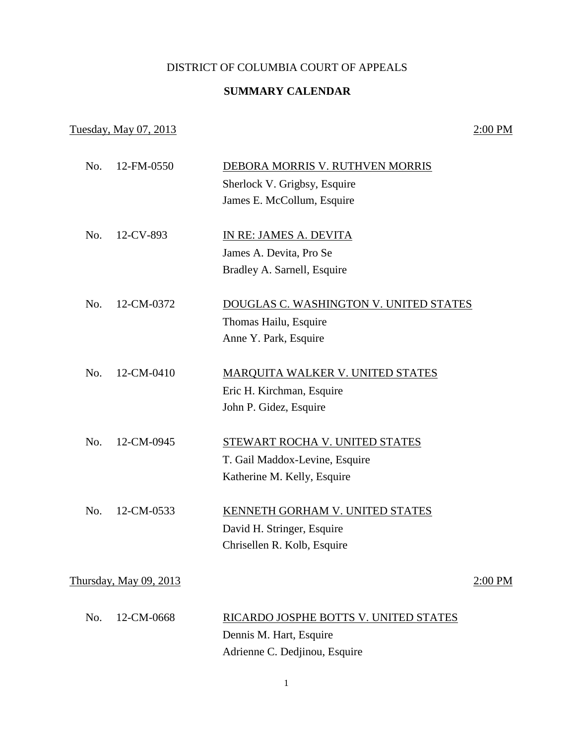## DISTRICT OF COLUMBIA COURT OF APPEALS

## **SUMMARY CALENDAR**

## Tuesday, May 07, 2013 2:00 PM

| No. | 12-FM-0550                    | DEBORA MORRIS V. RUTHVEN MORRIS         |         |
|-----|-------------------------------|-----------------------------------------|---------|
|     |                               | Sherlock V. Grigbsy, Esquire            |         |
|     |                               | James E. McCollum, Esquire              |         |
|     |                               |                                         |         |
| No. | 12-CV-893                     | IN RE: JAMES A. DEVITA                  |         |
|     |                               | James A. Devita, Pro Se                 |         |
|     |                               | Bradley A. Sarnell, Esquire             |         |
| No. | 12-CM-0372                    | DOUGLAS C. WASHINGTON V. UNITED STATES  |         |
|     |                               | Thomas Hailu, Esquire                   |         |
|     |                               | Anne Y. Park, Esquire                   |         |
|     |                               |                                         |         |
| No. | 12-CM-0410                    | <b>MARQUITA WALKER V. UNITED STATES</b> |         |
|     |                               | Eric H. Kirchman, Esquire               |         |
|     |                               | John P. Gidez, Esquire                  |         |
| No. | 12-CM-0945                    | STEWART ROCHA V. UNITED STATES          |         |
|     |                               | T. Gail Maddox-Levine, Esquire          |         |
|     |                               | Katherine M. Kelly, Esquire             |         |
| No. | 12-CM-0533                    | <b>KENNETH GORHAM V. UNITED STATES</b>  |         |
|     |                               | David H. Stringer, Esquire              |         |
|     |                               | Chrisellen R. Kolb, Esquire             |         |
|     |                               |                                         |         |
|     | <u>Thursday, May 09, 2013</u> |                                         | 2:00 PM |
| No. | 12-CM-0668                    | RICARDO JOSPHE BOTTS V. UNITED STATES   |         |
|     |                               | Dennis M. Hart, Esquire                 |         |
|     |                               | Adrienne C. Dedjinou, Esquire           |         |
|     |                               |                                         |         |

1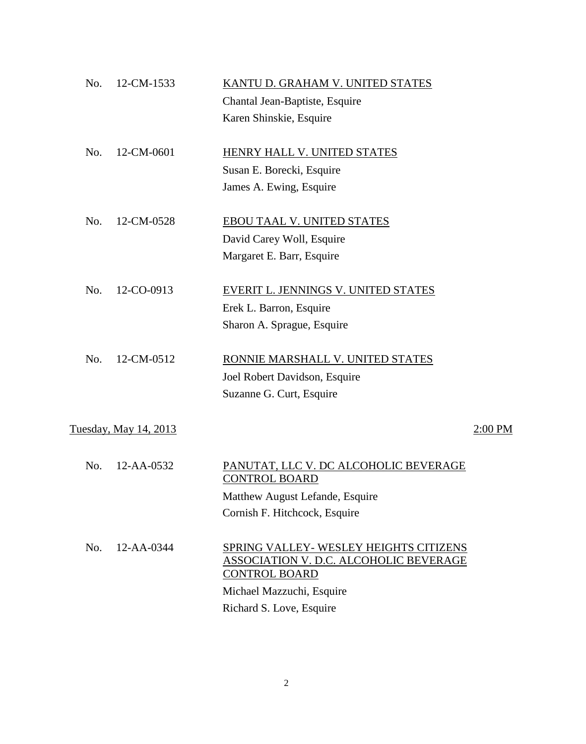| No. | 12-CM-1533                   | KANTU D. GRAHAM V. UNITED STATES                                      |         |
|-----|------------------------------|-----------------------------------------------------------------------|---------|
|     |                              | Chantal Jean-Baptiste, Esquire                                        |         |
|     |                              | Karen Shinskie, Esquire                                               |         |
| No. | 12-CM-0601                   | HENRY HALL V. UNITED STATES                                           |         |
|     |                              | Susan E. Borecki, Esquire                                             |         |
|     |                              | James A. Ewing, Esquire                                               |         |
| No. | 12-CM-0528                   | EBOU TAAL V. UNITED STATES                                            |         |
|     |                              | David Carey Woll, Esquire                                             |         |
|     |                              | Margaret E. Barr, Esquire                                             |         |
| No. | 12-CO-0913                   | EVERIT L. JENNINGS V. UNITED STATES                                   |         |
|     |                              | Erek L. Barron, Esquire                                               |         |
|     |                              | Sharon A. Sprague, Esquire                                            |         |
| No. | 12-CM-0512                   | RONNIE MARSHALL V. UNITED STATES                                      |         |
|     |                              | Joel Robert Davidson, Esquire                                         |         |
|     |                              | Suzanne G. Curt, Esquire                                              |         |
|     | <u>Tuesday, May 14, 2013</u> |                                                                       | 2:00 PM |
|     |                              |                                                                       |         |
| No. | 12-AA-0532                   | PANUTAT, LLC V. DC ALCOHOLIC BEVERAGE<br><b>CONTROL BOARD</b>         |         |
|     |                              | Matthew August Lefande, Esquire                                       |         |
|     |                              | Cornish F. Hitchcock, Esquire                                         |         |
| No. | 12-AA-0344                   | SPRING VALLEY- WESLEY HEIGHTS CITIZENS                                |         |
|     |                              | <b>ASSOCIATION V. D.C. ALCOHOLIC BEVERAGE</b><br><b>CONTROL BOARD</b> |         |
|     |                              | Michael Mazzuchi, Esquire                                             |         |
|     |                              | Richard S. Love, Esquire                                              |         |
|     |                              |                                                                       |         |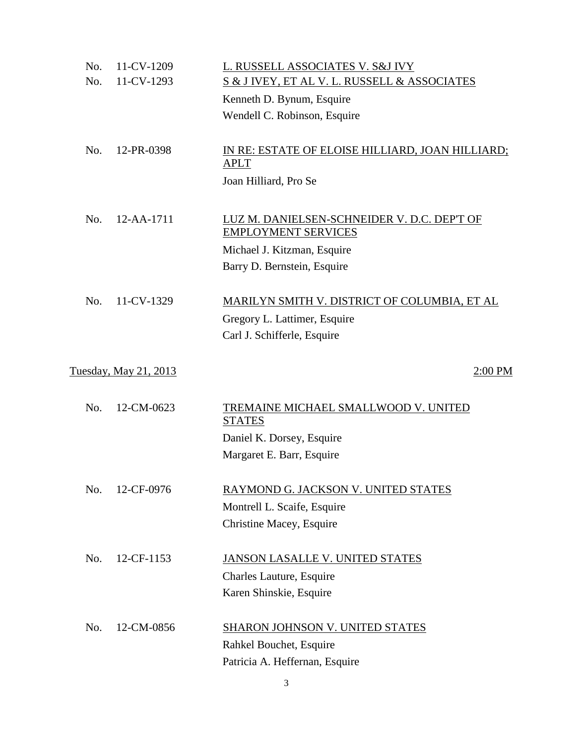| No. | 11-CV-1209            | L. RUSSELL ASSOCIATES V. S&J IVY                 |
|-----|-----------------------|--------------------------------------------------|
| No. | 11-CV-1293            | S & J IVEY, ET AL V. L. RUSSELL & ASSOCIATES     |
|     |                       | Kenneth D. Bynum, Esquire                        |
|     |                       | Wendell C. Robinson, Esquire                     |
|     |                       |                                                  |
| No. | 12-PR-0398            | IN RE: ESTATE OF ELOISE HILLIARD, JOAN HILLIARD; |
|     |                       | <b>APLT</b>                                      |
|     |                       | Joan Hilliard, Pro Se                            |
|     |                       |                                                  |
| No. | 12-AA-1711            | LUZ M. DANIELSEN-SCHNEIDER V. D.C. DEP'T OF      |
|     |                       | <b>EMPLOYMENT SERVICES</b>                       |
|     |                       | Michael J. Kitzman, Esquire                      |
|     |                       | Barry D. Bernstein, Esquire                      |
|     |                       |                                                  |
| No. | 11-CV-1329            | MARILYN SMITH V. DISTRICT OF COLUMBIA, ET AL     |
|     |                       | Gregory L. Lattimer, Esquire                     |
|     |                       | Carl J. Schifferle, Esquire                      |
|     |                       |                                                  |
|     | Tuesday, May 21, 2013 | 2:00 PM                                          |
|     |                       |                                                  |
| No. | 12-CM-0623            | TREMAINE MICHAEL SMALLWOOD V. UNITED             |
|     |                       | <b>STATES</b>                                    |
|     |                       | Daniel K. Dorsey, Esquire                        |
|     |                       | Margaret E. Barr, Esquire                        |
|     |                       |                                                  |
| No. | 12-CF-0976            | RAYMOND G. JACKSON V. UNITED STATES              |
|     |                       | Montrell L. Scaife, Esquire                      |
|     |                       | Christine Macey, Esquire                         |
|     |                       |                                                  |
| No. | 12-CF-1153            | JANSON LASALLE V. UNITED STATES                  |
|     |                       | Charles Lauture, Esquire                         |
|     |                       | Karen Shinskie, Esquire                          |
|     |                       |                                                  |
| No. | 12-CM-0856            | <b>SHARON JOHNSON V. UNITED STATES</b>           |
|     |                       | Rahkel Bouchet, Esquire                          |
|     |                       | Patricia A. Heffernan, Esquire                   |

3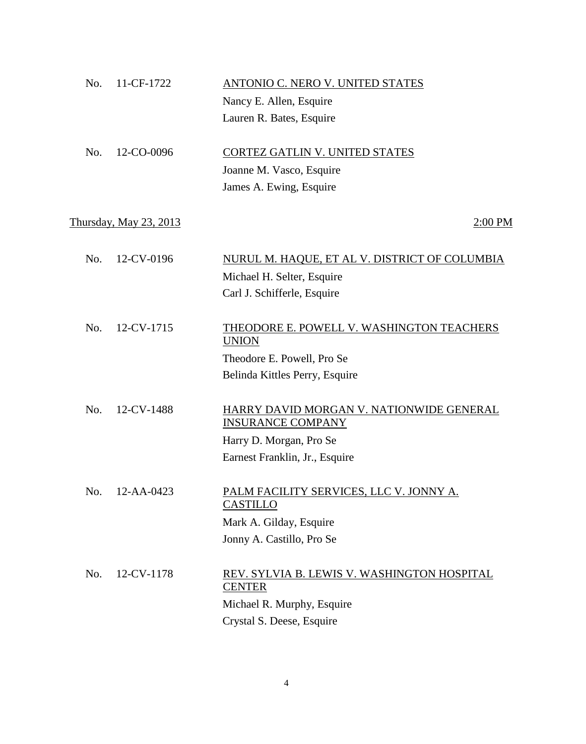| 11-CF-1722<br>No.      | ANTONIO C. NERO V. UNITED STATES                                     |
|------------------------|----------------------------------------------------------------------|
|                        | Nancy E. Allen, Esquire                                              |
|                        | Lauren R. Bates, Esquire                                             |
|                        |                                                                      |
| No.<br>12-CO-0096      | CORTEZ GATLIN V. UNITED STATES                                       |
|                        | Joanne M. Vasco, Esquire                                             |
|                        | James A. Ewing, Esquire                                              |
|                        |                                                                      |
| Thursday, May 23, 2013 | $2:00$ PM                                                            |
|                        |                                                                      |
| 12-CV-0196<br>No.      | NURUL M. HAQUE, ET AL V. DISTRICT OF COLUMBIA                        |
|                        | Michael H. Selter, Esquire                                           |
|                        | Carl J. Schifferle, Esquire                                          |
|                        |                                                                      |
| 12-CV-1715<br>No.      | THEODORE E. POWELL V. WASHINGTON TEACHERS                            |
|                        | <b>UNION</b>                                                         |
|                        | Theodore E. Powell, Pro Se                                           |
|                        | Belinda Kittles Perry, Esquire                                       |
|                        |                                                                      |
| No.<br>12-CV-1488      | HARRY DAVID MORGAN V. NATIONWIDE GENERAL<br><b>INSURANCE COMPANY</b> |
|                        | Harry D. Morgan, Pro Se                                              |
|                        | Earnest Franklin, Jr., Esquire                                       |
|                        |                                                                      |
| No.<br>12-AA-0423      | PALM FACILITY SERVICES, LLC V. JONNY A.                              |
|                        | <b>CASTILLO</b>                                                      |
|                        | Mark A. Gilday, Esquire                                              |
|                        | Jonny A. Castillo, Pro Se                                            |
|                        |                                                                      |
| 12-CV-1178<br>No.      | REV. SYLVIA B. LEWIS V. WASHINGTON HOSPITAL                          |
|                        | <b>CENTER</b>                                                        |
|                        | Michael R. Murphy, Esquire                                           |
|                        | Crystal S. Deese, Esquire                                            |